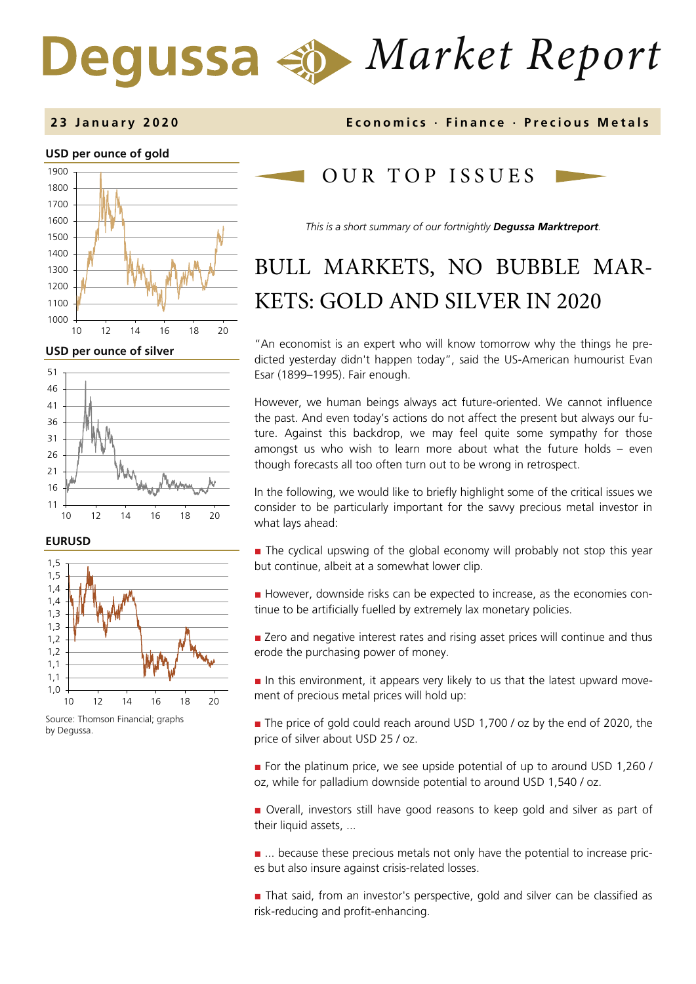# *Market Report* Degussa



**USD per ounce of silver** 



**EURUSD**



Source: Thomson Financial; graphs by Degussa.

**2 3 January 2 0 2 0 Economics · Finance · Precious Metals**

## OUR TOP ISSUE S

*This is a short summary of our fortnightly Degussa Marktreport.*

# BULL MARKETS, NO BUBBLE MAR-KETS: GOLD AND SILVER IN 2020

"An economist is an expert who will know tomorrow why the things he predicted yesterday didn't happen today", said the US-American humourist Evan Esar (1899–1995). Fair enough.

However, we human beings always act future-oriented. We cannot influence the past. And even today's actions do not affect the present but always our future. Against this backdrop, we may feel quite some sympathy for those amongst us who wish to learn more about what the future holds – even though forecasts all too often turn out to be wrong in retrospect.

In the following, we would like to briefly highlight some of the critical issues we consider to be particularly important for the savvy precious metal investor in what lays ahead:

■ The cyclical upswing of the global economy will probably not stop this year but continue, albeit at a somewhat lower clip.

■ However, downside risks can be expected to increase, as the economies continue to be artificially fuelled by extremely lax monetary policies.

■ Zero and negative interest rates and rising asset prices will continue and thus erode the purchasing power of money.

■ In this environment, it appears very likely to us that the latest upward movement of precious metal prices will hold up:

■ The price of gold could reach around USD 1,700 / oz by the end of 2020, the price of silver about USD 25 / oz.

■ For the platinum price, we see upside potential of up to around USD 1,260 / oz, while for palladium downside potential to around USD 1,540 / oz.

■ Overall, investors still have good reasons to keep gold and silver as part of their liquid assets, ...

■ ... because these precious metals not only have the potential to increase prices but also insure against crisis-related losses.

■ That said, from an investor's perspective, gold and silver can be classified as risk-reducing and profit-enhancing.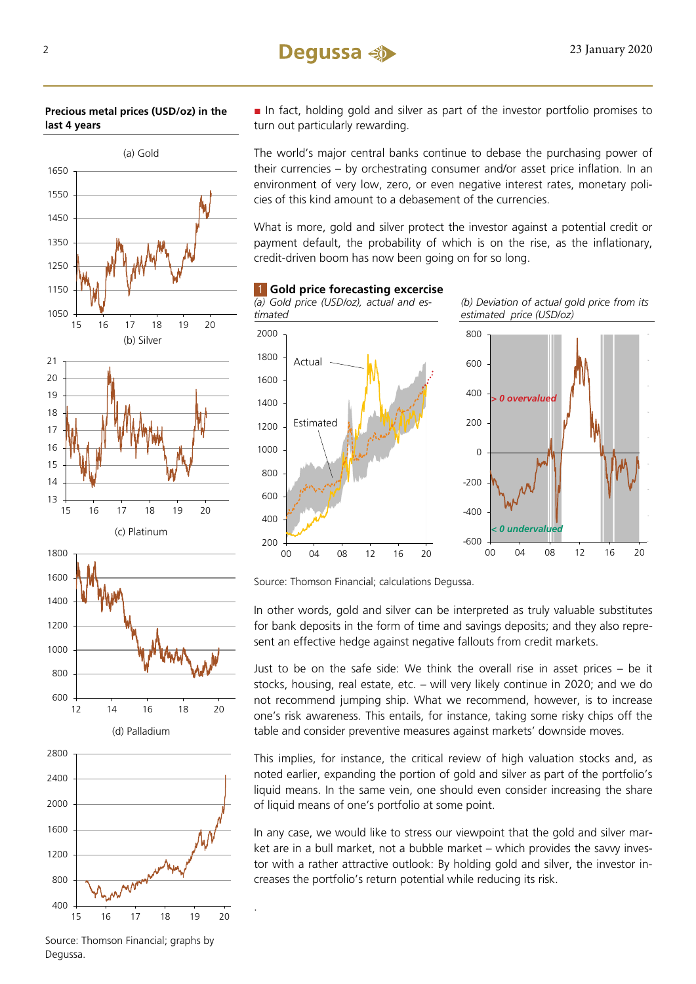





.

■ In fact, holding gold and silver as part of the investor portfolio promises to turn out particularly rewarding.

The world's major central banks continue to debase the purchasing power of their currencies – by orchestrating consumer and/or asset price inflation. In an environment of very low, zero, or even negative interest rates, monetary policies of this kind amount to a debasement of the currencies.

What is more, gold and silver protect the investor against a potential credit or payment default, the probability of which is on the rise, as the inflationary, credit-driven boom has now been going on for so long.

1 **Gold price forecasting excercise** 

*(a) Gold price (USD/oz), actual and estimated (b) Deviation of actual gold price from its estimated price (USD/oz)*  200 400 600 800 1000 1200 1400 1600 1800 2000 00 04 08 12 16 20 Actual Estimated -600 -400 -200 0 200 400 600 800 00 04 08 12 16 20 0 overvalue *undervalue* 

Source: Thomson Financial; calculations Degussa.

In other words, gold and silver can be interpreted as truly valuable substitutes for bank deposits in the form of time and savings deposits; and they also represent an effective hedge against negative fallouts from credit markets.

Just to be on the safe side: We think the overall rise in asset prices – be it stocks, housing, real estate, etc. – will very likely continue in 2020; and we do not recommend jumping ship. What we recommend, however, is to increase one's risk awareness. This entails, for instance, taking some risky chips off the table and consider preventive measures against markets' downside moves.

This implies, for instance, the critical review of high valuation stocks and, as noted earlier, expanding the portion of gold and silver as part of the portfolio's liquid means. In the same vein, one should even consider increasing the share of liquid means of one's portfolio at some point.

In any case, we would like to stress our viewpoint that the gold and silver market are in a bull market, not a bubble market – which provides the savvy investor with a rather attractive outlook: By holding gold and silver, the investor increases the portfolio's return potential while reducing its risk.

Source: Thomson Financial; graphs by Degussa.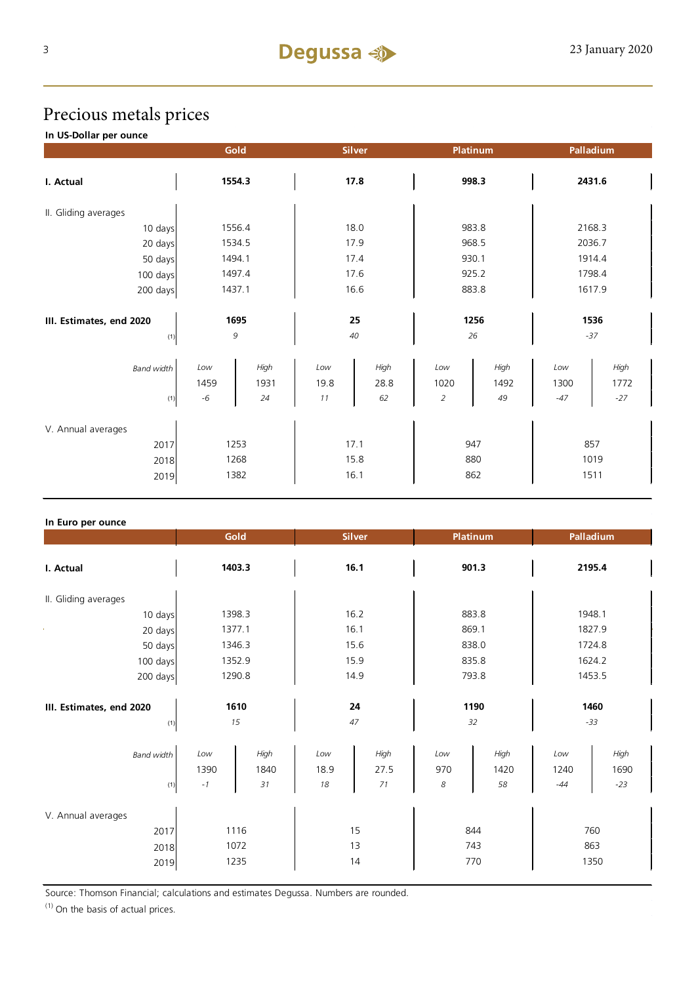# Precious metals prices

**In US-Dollar per ounce**

|                                            | Gold                 |                    | <b>Silver</b>        |                    | Platinum                  |                    | Palladium            |                       |
|--------------------------------------------|----------------------|--------------------|----------------------|--------------------|---------------------------|--------------------|----------------------|-----------------------|
| I. Actual                                  | 1554.3               |                    | 17.8                 |                    | 998.3                     |                    | 2431.6               |                       |
| II. Gliding averages                       |                      |                    |                      |                    |                           |                    |                      |                       |
| 10 days                                    | 1556.4               |                    | 18.0                 |                    | 983.8                     |                    | 2168.3               |                       |
| 20 days                                    | 1534.5               |                    | 17.9                 |                    | 968.5                     |                    | 2036.7               |                       |
| 50 days                                    | 1494.1               |                    | 17.4                 |                    | 930.1                     |                    | 1914.4               |                       |
| 100 days                                   | 1497.4               |                    | 17.6                 |                    | 925.2                     |                    | 1798.4               |                       |
| 200 days                                   | 1437.1               |                    | 16.6                 |                    | 883.8                     |                    | 1617.9               |                       |
| III. Estimates, end 2020<br>(1)            | 1695<br>9            |                    | 25<br>40             |                    | 1256<br>26                |                    | 1536<br>$-37$        |                       |
| <b>Band width</b><br>(1)                   | Low<br>1459<br>$-6$  | High<br>1931<br>24 | Low<br>19.8<br>11    | High<br>28.8<br>62 | Low<br>1020<br>$\sqrt{2}$ | High<br>1492<br>49 | Low<br>1300<br>$-47$ | High<br>1772<br>$-27$ |
| V. Annual averages<br>2017<br>2018<br>2019 | 1253<br>1268<br>1382 |                    | 17.1<br>15.8<br>16.1 |                    | 947<br>880<br>862         |                    | 857<br>1019<br>1511  |                       |

#### **In Euro per ounce**

|                                            | Gold                 |                    | <b>Silver</b>     |                    | <b>Platinum</b>   |                    | Palladium            |                       |
|--------------------------------------------|----------------------|--------------------|-------------------|--------------------|-------------------|--------------------|----------------------|-----------------------|
| I. Actual                                  | 1403.3               |                    | 16.1              |                    | 901.3             |                    | 2195.4               |                       |
| II. Gliding averages                       |                      |                    |                   |                    |                   |                    |                      |                       |
| 10 days                                    | 1398.3               |                    | 16.2              |                    | 883.8             |                    | 1948.1               |                       |
| 20 days                                    | 1377.1               |                    | 16.1              |                    | 869.1             |                    | 1827.9               |                       |
| 50 days                                    | 1346.3               |                    | 15.6              |                    | 838.0             |                    | 1724.8               |                       |
| 100 days                                   | 1352.9               |                    | 15.9              |                    | 835.8             |                    | 1624.2               |                       |
| 200 days                                   | 1290.8               |                    | 14.9              |                    | 793.8             |                    | 1453.5               |                       |
| III. Estimates, end 2020<br>(1)            | 1610<br>15           |                    | 24<br>47          |                    | 1190<br>32        |                    | 1460<br>$-33$        |                       |
| <b>Band width</b><br>(1)                   | Low<br>1390<br>$-1$  | High<br>1840<br>31 | Low<br>18.9<br>18 | High<br>27.5<br>71 | Low<br>970<br>8   | High<br>1420<br>58 | Low<br>1240<br>$-44$ | High<br>1690<br>$-23$ |
| V. Annual averages<br>2017<br>2018<br>2019 | 1116<br>1072<br>1235 |                    | 15<br>13<br>14    |                    | 844<br>743<br>770 |                    | 760<br>863<br>1350   |                       |

Source: Thomson Financial; calculations and estimates Degussa. Numbers are rounded.

 $(1)$  On the basis of actual prices.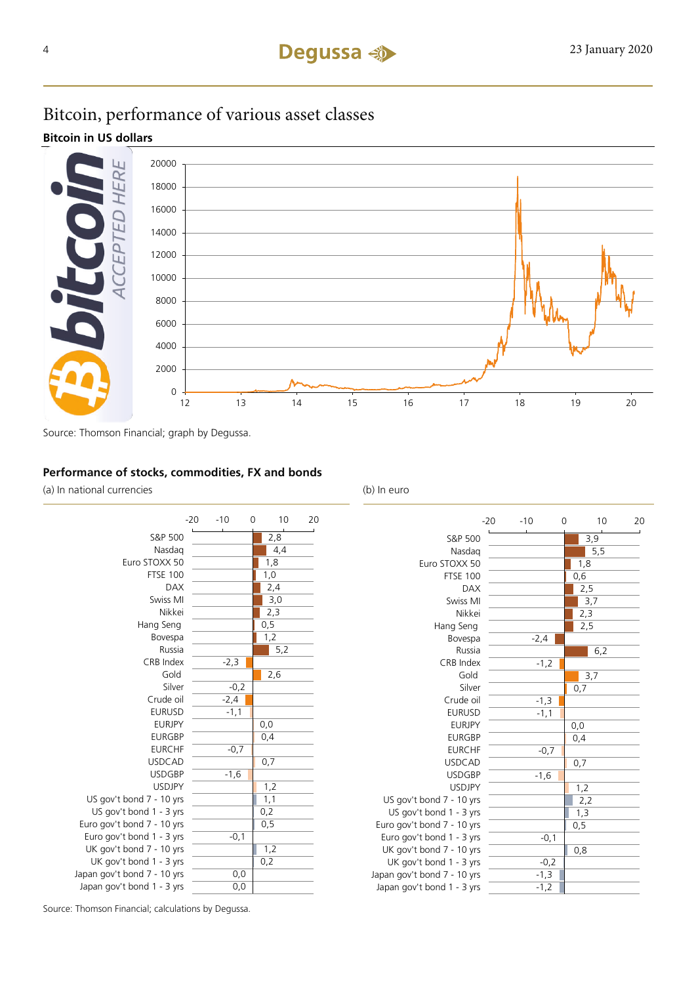### Bitcoin, performance of various asset classes

**Bitcoin in US dollars**



Source: Thomson Financial; graph by Degussa.

### **Performance of stocks, commodities, FX and bonds**

(a) In national currencies (b) In euro

|                             | $-20$ | $-10$  | 0 | 10   | 20 |
|-----------------------------|-------|--------|---|------|----|
| S&P 500                     |       |        |   | 2,8  |    |
| Nasdag                      |       |        |   | 4,4  |    |
| Euro STOXX 50               |       |        |   | 1,8  |    |
| <b>FTSE 100</b>             |       |        |   | 1,0  |    |
| <b>DAX</b>                  |       |        |   | 2,4  |    |
| Swiss MI                    |       |        |   | 3,0  |    |
| Nikkei                      |       |        |   | 2,3  |    |
| Hang Seng                   |       |        |   | 0, 5 |    |
| Bovespa                     |       |        |   | 1,2  |    |
| Russia                      |       |        |   | 5,2  |    |
| <b>CRB</b> Index            |       | $-2,3$ |   |      |    |
| Gold                        |       |        |   | 2,6  |    |
| Silver                      |       | $-0,2$ |   |      |    |
| Crude oil                   |       | $-2,4$ |   |      |    |
| <b>EURUSD</b>               |       | $-1,1$ |   |      |    |
| <b>EURJPY</b>               |       |        |   | 0,0  |    |
| <b>EURGBP</b>               |       |        |   | 0,4  |    |
| <b>EURCHF</b>               |       | $-0,7$ |   |      |    |
| <b>USDCAD</b>               |       |        |   | 0,7  |    |
| <b>USDGBP</b>               |       | $-1,6$ |   |      |    |
| <b>USDJPY</b>               |       |        |   | 1,2  |    |
| US gov't bond 7 - 10 yrs    |       |        |   | 1,1  |    |
| US gov't bond 1 - 3 yrs     |       |        |   | 0,2  |    |
| Euro gov't bond 7 - 10 yrs  |       |        |   | 0,5  |    |
| Euro gov't bond 1 - 3 yrs   |       | $-0,1$ |   |      |    |
| UK gov't bond 7 - 10 yrs    |       |        |   | 1,2  |    |
| UK gov't bond 1 - 3 yrs     |       |        |   | 0,2  |    |
| Japan gov't bond 7 - 10 yrs |       | 0,0    |   |      |    |
| Japan gov't bond 1 - 3 yrs  |       | 0,0    |   |      |    |



Source: Thomson Financial; calculations by Degussa.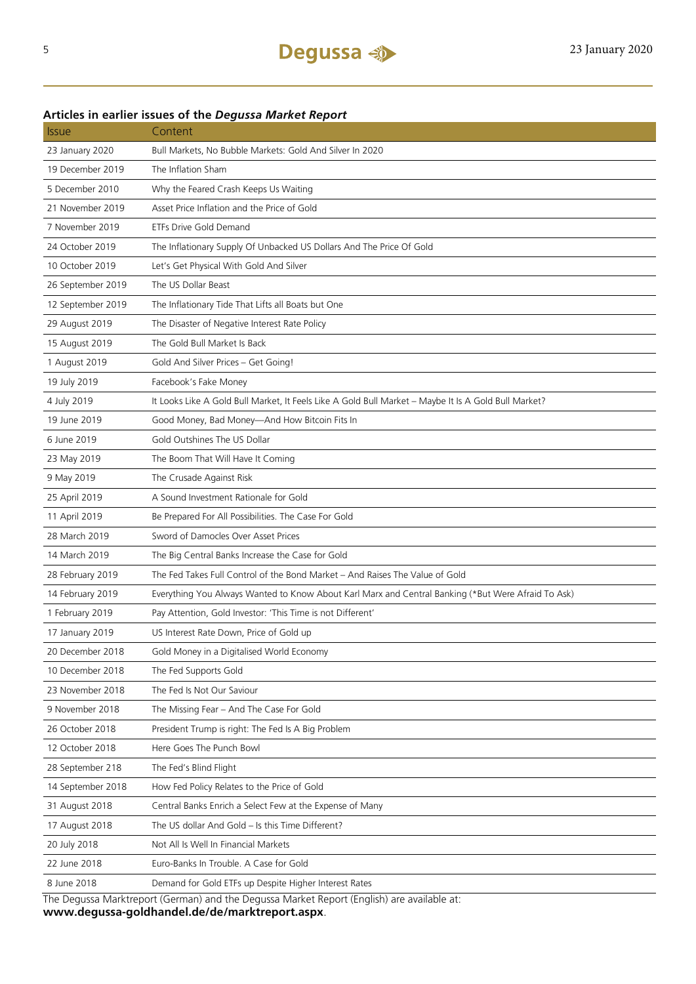| <b>Issue</b>                                                                               | Content                                                                                              |  |  |  |  |
|--------------------------------------------------------------------------------------------|------------------------------------------------------------------------------------------------------|--|--|--|--|
| 23 January 2020                                                                            | Bull Markets, No Bubble Markets: Gold And Silver In 2020                                             |  |  |  |  |
| 19 December 2019                                                                           | The Inflation Sham                                                                                   |  |  |  |  |
| 5 December 2010                                                                            | Why the Feared Crash Keeps Us Waiting                                                                |  |  |  |  |
| 21 November 2019                                                                           | Asset Price Inflation and the Price of Gold                                                          |  |  |  |  |
| 7 November 2019                                                                            | ETFs Drive Gold Demand                                                                               |  |  |  |  |
| 24 October 2019                                                                            | The Inflationary Supply Of Unbacked US Dollars And The Price Of Gold                                 |  |  |  |  |
| 10 October 2019                                                                            | Let's Get Physical With Gold And Silver                                                              |  |  |  |  |
| 26 September 2019                                                                          | The US Dollar Beast                                                                                  |  |  |  |  |
| 12 September 2019                                                                          | The Inflationary Tide That Lifts all Boats but One                                                   |  |  |  |  |
| 29 August 2019                                                                             | The Disaster of Negative Interest Rate Policy                                                        |  |  |  |  |
| 15 August 2019                                                                             | The Gold Bull Market Is Back                                                                         |  |  |  |  |
| 1 August 2019                                                                              | Gold And Silver Prices - Get Going!                                                                  |  |  |  |  |
| 19 July 2019                                                                               | Facebook's Fake Money                                                                                |  |  |  |  |
| 4 July 2019                                                                                | It Looks Like A Gold Bull Market, It Feels Like A Gold Bull Market - Maybe It Is A Gold Bull Market? |  |  |  |  |
| 19 June 2019                                                                               | Good Money, Bad Money-And How Bitcoin Fits In                                                        |  |  |  |  |
| 6 June 2019                                                                                | Gold Outshines The US Dollar                                                                         |  |  |  |  |
| 23 May 2019                                                                                | The Boom That Will Have It Coming                                                                    |  |  |  |  |
| 9 May 2019                                                                                 | The Crusade Against Risk                                                                             |  |  |  |  |
| 25 April 2019                                                                              | A Sound Investment Rationale for Gold                                                                |  |  |  |  |
| 11 April 2019                                                                              | Be Prepared For All Possibilities. The Case For Gold                                                 |  |  |  |  |
| 28 March 2019                                                                              | Sword of Damocles Over Asset Prices                                                                  |  |  |  |  |
| 14 March 2019                                                                              | The Big Central Banks Increase the Case for Gold                                                     |  |  |  |  |
| 28 February 2019                                                                           | The Fed Takes Full Control of the Bond Market - And Raises The Value of Gold                         |  |  |  |  |
| 14 February 2019                                                                           | Everything You Always Wanted to Know About Karl Marx and Central Banking (*But Were Afraid To Ask)   |  |  |  |  |
| 1 February 2019                                                                            | Pay Attention, Gold Investor: 'This Time is not Different'                                           |  |  |  |  |
| 17 January 2019                                                                            | US Interest Rate Down, Price of Gold up                                                              |  |  |  |  |
| 20 December 2018                                                                           | Gold Money in a Digitalised World Economy                                                            |  |  |  |  |
| 10 December 2018                                                                           | The Fed Supports Gold                                                                                |  |  |  |  |
| 23 November 2018                                                                           | The Fed Is Not Our Saviour                                                                           |  |  |  |  |
| 9 November 2018                                                                            | The Missing Fear - And The Case For Gold                                                             |  |  |  |  |
| 26 October 2018                                                                            | President Trump is right: The Fed Is A Big Problem                                                   |  |  |  |  |
| 12 October 2018                                                                            | Here Goes The Punch Bowl                                                                             |  |  |  |  |
| 28 September 218                                                                           | The Fed's Blind Flight                                                                               |  |  |  |  |
| 14 September 2018                                                                          | How Fed Policy Relates to the Price of Gold                                                          |  |  |  |  |
| 31 August 2018                                                                             | Central Banks Enrich a Select Few at the Expense of Many                                             |  |  |  |  |
| 17 August 2018                                                                             | The US dollar And Gold - Is this Time Different?                                                     |  |  |  |  |
| 20 July 2018                                                                               | Not All Is Well In Financial Markets                                                                 |  |  |  |  |
| 22 June 2018                                                                               | Euro-Banks In Trouble. A Case for Gold                                                               |  |  |  |  |
| 8 June 2018                                                                                | Demand for Gold ETFs up Despite Higher Interest Rates                                                |  |  |  |  |
| The Dequese Marktroport (Gorman) and the Dequese Market Report (English) are available at: |                                                                                                      |  |  |  |  |

# **Articles in earlier issues of the** *Degussa Market Report*

The Degussa Marktreport (German) and the Degussa Market Report (English) are available at: **www.degussa-goldhandel.de/de/marktreport.aspx**.